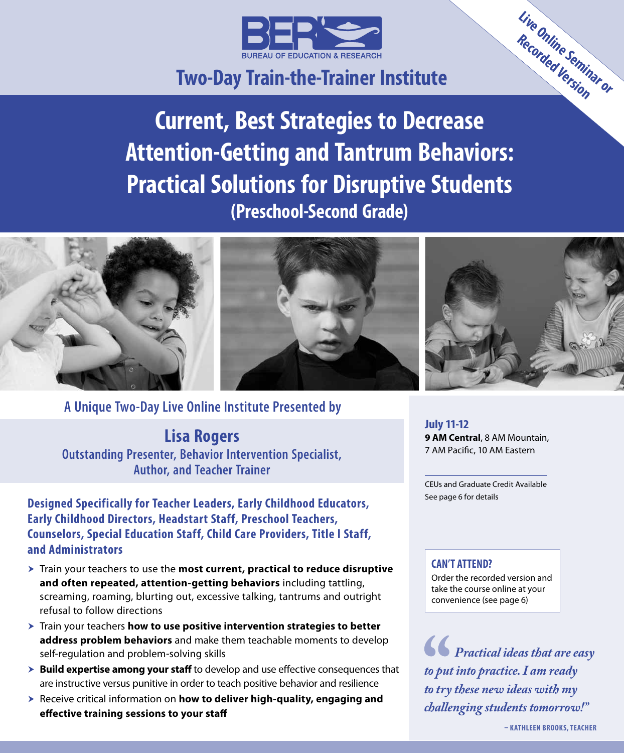

# **Two‑Day Train‑the‑Trainer Institute**

**Current, Best Strategies to Decrease Attention-Getting and Tantrum Behaviors: Practical Solutions for Disruptive Students (Preschool-Second Grade)**



**A Unique Two-Day Live Online Institute Presented by**

**Lisa Rogers**

**Outstanding Presenter, Behavior Intervention Specialist, Author, and Teacher Trainer**

**Designed Specifically for Teacher Leaders, Early Childhood Educators, Early Childhood Directors, Headstart Staff, Preschool Teachers, Counselors, Special Education Staff, Child Care Providers, Title I Staff, and Administrators**

- $\triangleright$  Train your teachers to use the **most current, practical to reduce disruptive and often repeated, attention-getting behaviors** including tattling, screaming, roaming, blurting out, excessive talking, tantrums and outright refusal to follow directions
- $\triangleright$  Train your teachers **how to use positive intervention strategies to better address problem behaviors** and make them teachable moments to develop self-regulation and problem-solving skills
- **Example 3 Build expertise among your staff** to develop and use effective consequences that are instructive versus punitive in order to teach positive behavior and resilience
- **h** Receive critical information on **how to deliver high-quality, engaging and effective training sessions to your staff**

**July 11-12 9 AM Central**, 8 AM Mountain, 7 AM Pacific, 10 AM Eastern

CEUs and Graduate Credit Available See page 6 for details

#### **CAN'T ATTEND?**

Order the recorded version and take the course online at your convenience (see page 6)

*Practical ideas that are easy to put into practice. I am ready to try these new ideas with my challenging students tomorrow!"*

**Live Online Seminar or Recorded Version**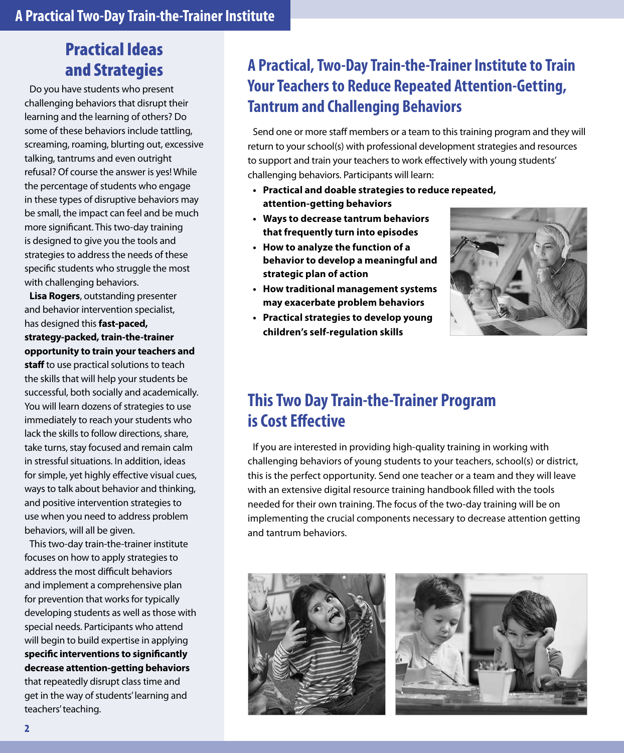# Practical Ideas and Strategies

Do you have students who present challenging behaviors that disrupt their learning and the learning of others? Do some of these behaviors include tattling, screaming, roaming, blurting out, excessive talking, tantrums and even outright refusal? Of course the answer is yes! While the percentage of students who engage in these types of disruptive behaviors may be small, the impact can feel and be much more significant. This two-day training is designed to give you the tools and strategies to address the needs of these specific students who struggle the most with challenging behaviors.

**Lisa Rogers**, outstanding presenter and behavior intervention specialist, has designed this **fast-paced, strategy-packed, train-the-trainer opportunity to train your teachers and** 

**staff** to use practical solutions to teach the skills that will help your students be successful, both socially and academically. You will learn dozens of strategies to use immediately to reach your students who lack the skills to follow directions, share, take turns, stay focused and remain calm in stressful situations. In addition, ideas for simple, yet highly effective visual cues, ways to talk about behavior and thinking, and positive intervention strategies to use when you need to address problem behaviors, will all be given.

This two-day train-the-trainer institute focuses on how to apply strategies to address the most difficult behaviors and implement a comprehensive plan for prevention that works for typically developing students as well as those with special needs. Participants who attend will begin to build expertise in applying **specific interventions to significantly decrease attention-getting behaviors**  that repeatedly disrupt class time and get in the way of students' learning and teachers' teaching.

# **A Practical, Two-Day Train-the-Trainer Institute to Train Your Teachers to Reduce Repeated Attention‑Getting, Tantrum and Challenging Behaviors**

Send one or more staff members or a team to this training program and they will return to your school(s) with professional development strategies and resources to support and train your teachers to work effectively with young students' challenging behaviors. Participants will learn:

- **• Practical and doable strategies to reduce repeated, attention-getting behaviors**
- **• Ways to decrease tantrum behaviors that frequently turn into episodes**
- **• How to analyze the function of a behavior to develop a meaningful and strategic plan of action**
- **• How traditional management systems may exacerbate problem behaviors**
- **• Practical strategies to develop young children's self-regulation skills**



# **This Two Day Train-the-Trainer Program is Cost Effective**

If you are interested in providing high-quality training in working with challenging behaviors of young students to your teachers, school(s) or district, this is the perfect opportunity. Send one teacher or a team and they will leave with an extensive digital resource training handbook filled with the tools needed for their own training. The focus of the two-day training will be on implementing the crucial components necessary to decrease attention getting and tantrum behaviors.



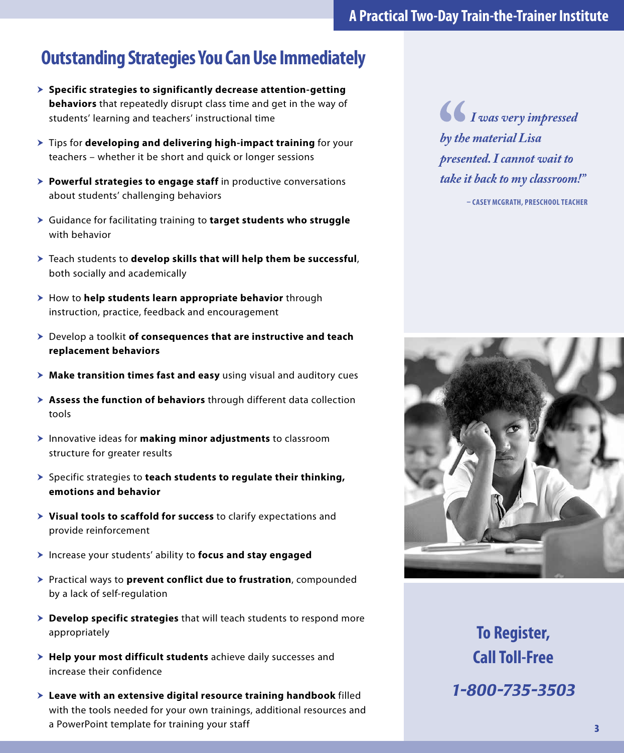# **Outstanding Strategies You Can Use Immediately**

- **Example 2 Specific strategies to significantly decrease attention-getting > behaviors** that repeatedly disrupt class time and get in the way of students' learning and teachers' instructional time
- **Tips for developing and delivering high-impact training** for your teachers – whether it be short and quick or longer sessions
- **> Powerful strategies to engage staff** in productive conversations about students' challenging behaviors
- h Guidance for facilitating training to **target students who struggle** with behavior
- h Teach students to **develop skills that will help them be successful**, both socially and academically
- > How to **help students learn appropriate behavior** through instruction, practice, feedback and encouragement
- h Develop a toolkit **of consequences that are instructive and teach replacement behaviors**
- **h** Make transition times fast and easy using visual and auditory cues
- **h** Assess the function of behaviors through different data collection tools
- **h** Innovative ideas for **making minor adjustments** to classroom structure for greater results
- h Specific strategies to **teach students to regulate their thinking, emotions and behavior**
- $\triangleright$  **Visual tools to scaffold for success** to clarify expectations and provide reinforcement
- h Increase your students' ability to **focus and stay engaged**
- h Practical ways to **prevent conflict due to frustration**, compounded by a lack of self-regulation
- > **Develop specific strategies** that will teach students to respond more appropriately
- > Help your most difficult students achieve daily successes and increase their confidence
- $\blacktriangleright$  **Leave with an extensive digital resource training handbook** filled with the tools needed for your own trainings, additional resources and a PowerPoint template for training your staff

*I was very impressed by the material Lisa presented. I cannot wait to take it back to my classroom!"*

**– CASEY MCGRATH, PRESCHOOL TEACHER**



**To Register, Call Toll-Free** *1-800-735-3503*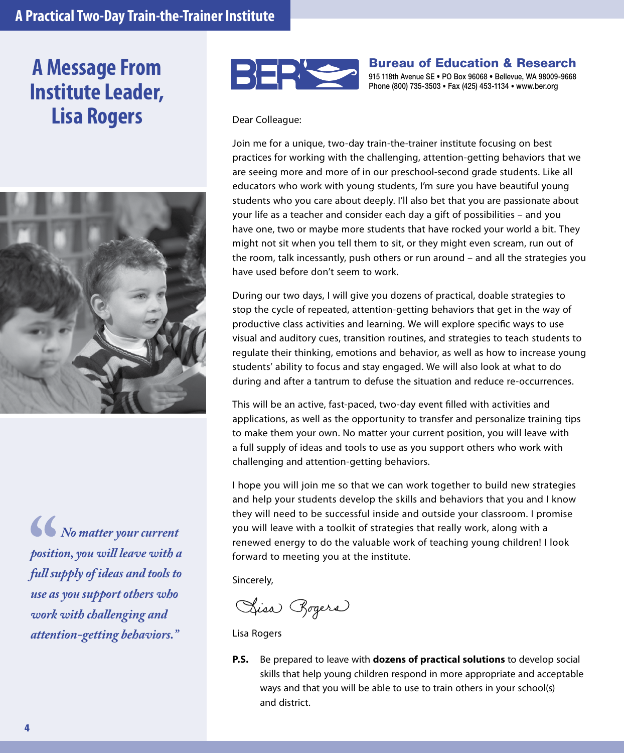# **A Message From Institute Leader, Lisa Rogers** Dear Colleague:



*No matter your current position, you will leave with a full supply of ideas and tools to use as you support others who work with challenging and attention-getting behaviors."*



Bureau of Education & Research 915 118th Avenue SE • PO Box 96068 • Bellevue, WA 98009-9668 Phone (800) 735-3503 • Fax (425) 453-1134 • www.ber.org

Join me for a unique, two-day train-the-trainer institute focusing on best practices for working with the challenging, attention-getting behaviors that we are seeing more and more of in our preschool-second grade students. Like all educators who work with young students, I'm sure you have beautiful young students who you care about deeply. I'll also bet that you are passionate about your life as a teacher and consider each day a gift of possibilities – and you have one, two or maybe more students that have rocked your world a bit. They might not sit when you tell them to sit, or they might even scream, run out of the room, talk incessantly, push others or run around – and all the strategies you have used before don't seem to work.

During our two days, I will give you dozens of practical, doable strategies to stop the cycle of repeated, attention-getting behaviors that get in the way of productive class activities and learning. We will explore specific ways to use visual and auditory cues, transition routines, and strategies to teach students to regulate their thinking, emotions and behavior, as well as how to increase young students' ability to focus and stay engaged. We will also look at what to do during and after a tantrum to defuse the situation and reduce re-occurrences.

This will be an active, fast-paced, two-day event filled with activities and applications, as well as the opportunity to transfer and personalize training tips to make them your own. No matter your current position, you will leave with a full supply of ideas and tools to use as you support others who work with challenging and attention-getting behaviors.

I hope you will join me so that we can work together to build new strategies and help your students develop the skills and behaviors that you and I know they will need to be successful inside and outside your classroom. I promise you will leave with a toolkit of strategies that really work, along with a renewed energy to do the valuable work of teaching young children! I look forward to meeting you at the institute.

Sincerely,

Sisa Bogers

Lisa Rogers

**P.S.** Be prepared to leave with **dozens of practical solutions** to develop social skills that help young children respond in more appropriate and acceptable ways and that you will be able to use to train others in your school(s) and district.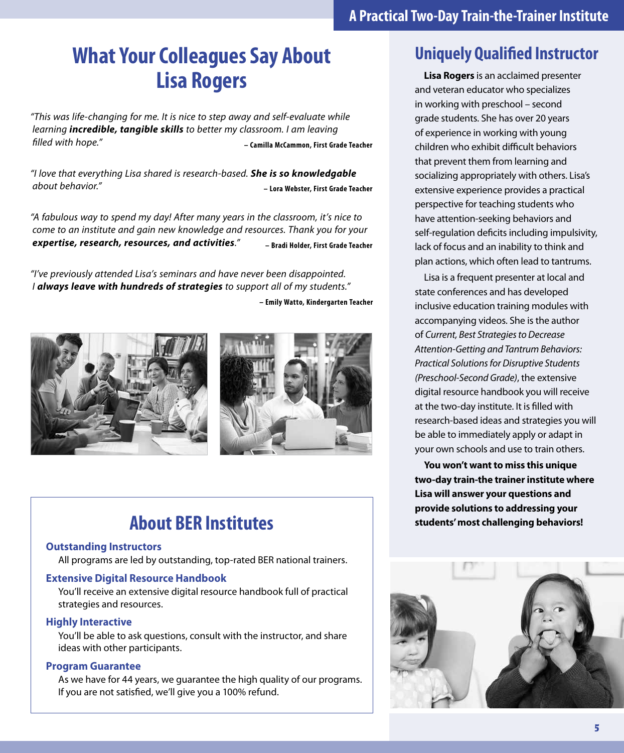# **What Your Colleagues Say About Lisa Rogers**

*"This was life-changing for me. It is nice to step away and self-evaluate while learning incredible, tangible skills to better my classroom. I am leaving filled with hope."* **– Camilla McCammon, First Grade Teacher**

*"I love that everything Lisa shared is research-based. She is so knowledgable about behavior."* **– Lora Webster, First Grade Teacher**

*"A fabulous way to spend my day! After many years in the classroom, it's nice to come to an institute and gain new knowledge and resources. Thank you for your expertise, research, resources, and activities."* **– Bradi Holder, First Grade Teacher**

*"I've previously attended Lisa's seminars and have never been disappointed. I always leave with hundreds of strategies to support all of my students."*

**– Emily Watto, Kindergarten Teacher**



# **About BER Institutes**

#### **Outstanding Instructors**

All programs are led by outstanding, top-rated BER national trainers.

#### **Extensive Digital Resource Handbook**

You'll receive an extensive digital resource handbook full of practical strategies and resources.

#### **Highly Interactive**

You'll be able to ask questions, consult with the instructor, and share ideas with other participants.

#### **Program Guarantee**

As we have for 44 years, we guarantee the high quality of our programs. If you are not satisfied, we'll give you a 100% refund.

# **Uniquely Qualified Instructor**

**Lisa Rogers** is an acclaimed presenter and veteran educator who specializes in working with preschool – second grade students. She has over 20 years of experience in working with young children who exhibit difficult behaviors that prevent them from learning and socializing appropriately with others. Lisa's extensive experience provides a practical perspective for teaching students who have attention-seeking behaviors and self-regulation deficits including impulsivity, lack of focus and an inability to think and plan actions, which often lead to tantrums.

Lisa is a frequent presenter at local and state conferences and has developed inclusive education training modules with accompanying videos. She is the author of *Current, Best Strategies to Decrease Attention-Getting and Tantrum Behaviors: Practical Solutions for Disruptive Students (Preschool-Second Grade)*, the extensive digital resource handbook you will receive at the two-day institute. It is filled with research-based ideas and strategies you will be able to immediately apply or adapt in your own schools and use to train others.

**You won't want to miss this unique two-day train-the trainer institute where Lisa will answer your questions and provide solutions to addressing your students' most challenging behaviors!**

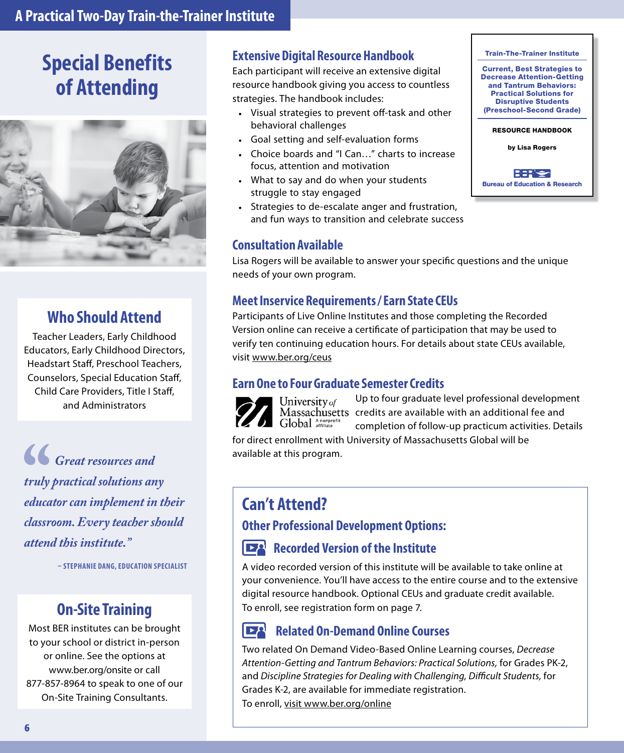### **A Practical Two‑Day Train‑the‑Trainer Institute**

# **Special Benefits of Attending**



### **Who Should Attend**

Teacher Leaders, Early Childhood Educators, Early Childhood Directors, Headstart Staff, Preschool Teachers, Counselors, Special Education Staff, Child Care Providers, Title I Staff, and Administrators

*Great resources and truly practical solutions any educator can implement in their classroom. Every teacher should attend this institute."*

**– STEPHANIE DANG, EDUCATION SPECIALIST**

### **On-Site Training**

Most BER institutes can be brought to your school or district in-person or online. See the options at www.ber.org/onsite or call 877-857-8964 to speak to one of our On-Site Training Consultants.

#### **Extensive Digital Resource Handbook**

Each participant will receive an extensive digital resource handbook giving you access to countless strategies. The handbook includes:

- Visual strategies to prevent off-task and other behavioral challenges
- Goal setting and self-evaluation forms
- Choice boards and "I Can…" charts to increase focus, attention and motivation
- What to say and do when your students struggle to stay engaged
- Strategies to de-escalate anger and frustration, and fun ways to transition and celebrate success

#### **Consultation Available**

Disruptive Students (Preschool-Second Grade) RESOURCE HANDBOOK by Lisa Rogers

Train-The-Trainer Institute Current, Best Strategies to Decrease Attention-Getting and Tantrum Behaviors: Practical Solutions for

BER'<del>e</del> Bureau of Education & Research

Lisa Rogers will be available to answer your specific questions and the unique needs of your own program.

#### **Meet Inservice Requirements / Earn State CEUs**

Participants of Live Online Institutes and those completing the Recorded Version online can receive a certificate of participation that may be used to verify ten continuing education hours. For details about state CEUs available, visit www.ber.org/ceus

#### **Earn One to Four Graduate Semester Credits**



University of  $\int$ clobal  $\frac{$  Anonprofi

Up to four graduate level professional development Massachusetts credits are available with an additional fee and completion of follow-up practicum activities. Details

for direct enrollment with University of Massachusetts Global will be available at this program.

### **Can't Attend?**

### **Other Professional Development Options:**

#### **Recorded Version of the Institute**  $\overline{P}$

A video recorded version of this institute will be available to take online at your convenience. You'll have access to the entire course and to the extensive digital resource handbook. Optional CEUs and graduate credit available. To enroll, see registration form on page 7.

#### $\mathbf{P}^{\mathbf{Q}}$ **Related On-Demand Online Courses**

Two related On Demand Video-Based Online Learning courses, *Decrease Attention-Getting and Tantrum Behaviors: Practical Solutions,* for Grades PK-2, and *Discipline Strategies for Dealing with Challenging, Difficult Students,* for Grades K-2, are available for immediate registration. To enroll, visit www.ber.org/online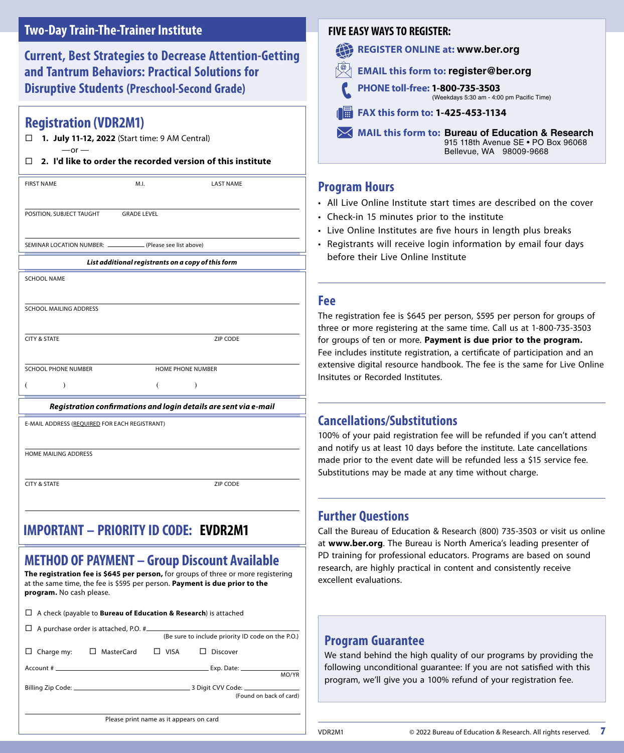### **Two‑Day Train‑The‑Trainer Institute**

**Current, Best Strategies to Decrease Attention-Getting and Tantrum Behaviors: Practical Solutions for Disruptive Students (Preschool-Second Grade)**

#### **Registration (VDR2M1)**

 **1. July 11-12, 2022** (Start time: 9 AM Central)  $-$ or  $-$ 

#### **2. I'd like to order the recorded version of this institute**

| <b>FIRST NAME</b>                                                | M.I.               | <b>LAST NAME</b>                                   |  |
|------------------------------------------------------------------|--------------------|----------------------------------------------------|--|
|                                                                  |                    |                                                    |  |
|                                                                  |                    |                                                    |  |
| POSITION, SUBJECT TAUGHT                                         | <b>GRADE LEVEL</b> |                                                    |  |
|                                                                  |                    |                                                    |  |
|                                                                  |                    |                                                    |  |
| SEMINAR LOCATION NUMBER: _______________ (Please see list above) |                    |                                                    |  |
|                                                                  |                    | List additional registrants on a copy of this form |  |
|                                                                  |                    |                                                    |  |
| <b>SCHOOL NAME</b>                                               |                    |                                                    |  |
|                                                                  |                    |                                                    |  |
|                                                                  |                    |                                                    |  |
| SCHOOL MAILING ADDRESS                                           |                    |                                                    |  |
|                                                                  |                    |                                                    |  |
|                                                                  |                    |                                                    |  |
| <b>CITY &amp; STATE</b>                                          |                    | ZIP CODE                                           |  |
|                                                                  |                    |                                                    |  |
| <b>SCHOOL PHONE NUMBER</b>                                       |                    | <b>HOME PHONE NUMBER</b>                           |  |
|                                                                  |                    |                                                    |  |
|                                                                  |                    |                                                    |  |
|                                                                  |                    |                                                    |  |

#### *Registration confirmations and login details are sent via e-mail*

E-MAIL ADDRESS (REQUIRED FOR EACH REGISTRANT)

HOME MAILING ADDRESS

CITY & STATE ZIP CODE

#### **IMPORTANT: PRIORITY ID CODE IMPORTANT – PRIORITY ID CODE: EVDR2M1**

### **METHOD OF PAYMENT – Group Discount Available**

**The registration fee is \$645 per person,** for groups of three or more registering at the same time, the fee is \$595 per person. **Payment is due prior to the program.** No cash please.

| $\Box$ A check (payable to <b>Bureau of Education &amp; Research</b> ) is attached |                                                |  |                                                   |                         |  |
|------------------------------------------------------------------------------------|------------------------------------------------|--|---------------------------------------------------|-------------------------|--|
|                                                                                    |                                                |  | (Be sure to include priority ID code on the P.O.) |                         |  |
|                                                                                    | Charge my: $\square$ MasterCard $\square$ VISA |  | $\Box$ Discover                                   |                         |  |
|                                                                                    |                                                |  |                                                   | MO/YR                   |  |
|                                                                                    |                                                |  |                                                   | (Found on back of card) |  |
| Please print name as it appears on card                                            |                                                |  |                                                   |                         |  |

#### **FIVE EASY WAYS TO REGISTER:**

- **REGISTER ONLINE at: www.ber.org**
- **EMAIL this form to: register@ber.org**
	- **PHONE toll-free: 1-800-735-3503**  (Weekdays 5:30 am ‑ 4:00 pm Pacific Time)
- **FAX this form to: 1-425-453-1134**

**MAIL this form to: Bureau of Education & Research** 915 118th Avenue SE • PO Box 96068 Bellevue, WA 98009‑9668

#### **Program Hours**

- All Live Online Institute start times are described on the cover
- Check-in 15 minutes prior to the institute
- Live Online Institutes are five hours in length plus breaks
- Registrants will receive login information by email four days before their Live Online Institute

#### **Fee**

The registration fee is \$645 per person, \$595 per person for groups of three or more registering at the same time. Call us at 1-800-735-3503 for groups of ten or more. **Payment is due prior to the program.** Fee includes institute registration, a certificate of participation and an extensive digital resource handbook. The fee is the same for Live Online Insitutes or Recorded Institutes.

#### **Cancellations/Substitutions**

100% of your paid registration fee will be refunded if you can't attend and notify us at least 10 days before the institute. Late cancellations made prior to the event date will be refunded less a \$15 service fee. Substitutions may be made at any time without charge.

#### **Further Questions**

Call the Bureau of Education & Research (800) 735-3503 or visit us online at **www.ber.org**. The Bureau is North America's leading presenter of PD training for professional educators. Programs are based on sound research, are highly practical in content and consistently receive excellent evaluations.

#### **Program Guarantee**

We stand behind the high quality of our programs by providing the following unconditional guarantee: If you are not satisfied with this program, we'll give you a 100% refund of your registration fee.